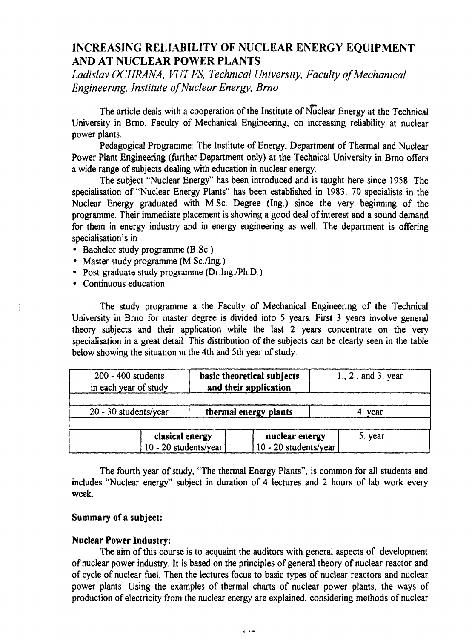# INCREASING RELIABILITY OF NUCLEAR ENERGY EQUIPMENT AND AT NUCLEAR POWER PLANTS

*Ladislav OCHRANA, WTFS, Technical University, Faculty of Mechanical Engineering, Institute of Nuclear Energy, Brno*

The article deals with a cooperation of the Institute of Nuclear Energy at the Technical University in Brno, Faculty of Mechanical Engineering, on increasing reliability at nuclear power plants.

Pedagogical Programme: The Institute of Energy, Department of Thermal and Nuclear Power Plant Engineering (further Department only) at the Technical University in Brno offers a wide range of subjects dealing with education in nuclear energy.

The subject "Nuclear Energy" has been introduced and is taught here since 1958. The specialisation of "Nuclear Energy Plants" has been established in 1983. 70 specialists in the Nuclear Energy graduated with M.Sc. Degree (Ing.) since the very beginning of the programme. Their immediate placement is showing a good deal of interest and a sound demand for them in energy industry and in energy engineering as well. The department is offering specialisation's in

- Bachelor study programme (B.Sc.)
- Master study programme (M.Sc./Ing.)
- Post-graduate study programme (Dr Ing./Ph.D.)
- Continuous education

The study programme a the Faculty of Mechanical Engineering of the Technical University in Brno for master degree is divided into 5 years. First 3 years involve general theory subjects and their application while the last 2 years concentrate on the very specialisation in a great detail. This distribution of the subjects can be clearly seen in the table below showing the situation in the 4th and 5th year of study.

| 200 - 400 students<br>in each year of study |                                          | basic theoretical subjects<br>and their application |  |                                         | $1., 2.,$ and $3.$ year |         |
|---------------------------------------------|------------------------------------------|-----------------------------------------------------|--|-----------------------------------------|-------------------------|---------|
| 20 - 30 students/year                       | thermal energy plants                    |                                                     |  |                                         | 4. vear                 |         |
|                                             | clasical energy<br>10 - 20 students/year |                                                     |  | nuclear energy<br>10 - 20 students/year |                         | 5. year |

The fourth year of study, "The thermal Energy Plants", is common for all students and includes "Nuclear energy" subject in duration of 4 lectures and 2 hours of lab work every week.

# **Summary of a subject:**

#### **Nuclear Power Industry:**

The aim of this course is to acquaint the auditors with general aspects of development of nuclear power industry. It is based on the principles of general theory of nuclear reactor and of cycle of nuclear fuel Then the lectures focus to basic types of nuclear reactors and nuclear power plants. Using the examples of thermal charts of nuclear power plants, the ways of production of electricity from the nuclear energy are explained, considering methods of nuclear

 $\overline{1}$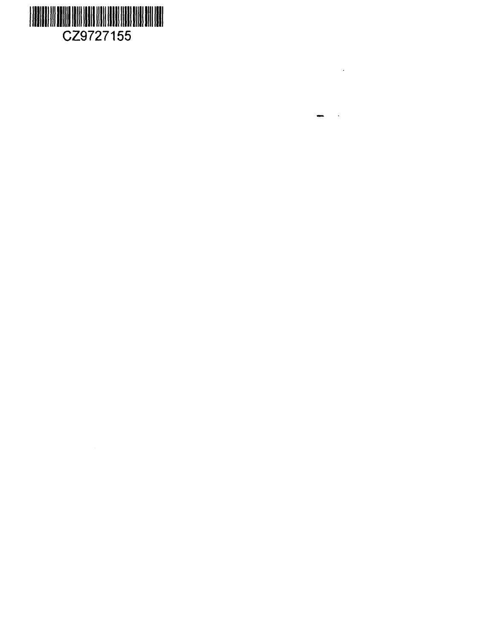

 $\overline{\phantom{a}}$ 

 $\ddot{\phantom{a}}$ 

 $\overline{\phantom{a}}$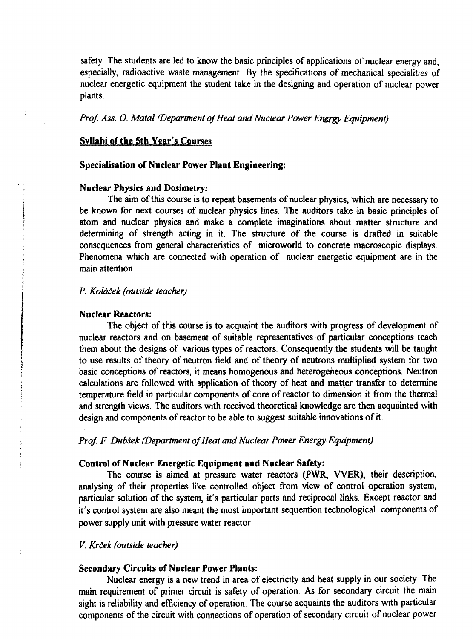safety. The students are led to know the basic principles of applications of nuclear energy and, especially, radioactive waste management. By the specifications of mechanical specialities of nuclear energetic equipment the student take in the designing and operation of nuclear power plants.

# *Prof. Ass. O. Mated (Department of Heat and Nuclear Power Energy Equipment)*

#### **Syllabi of the Sth Year's Courses**

#### **Specialisation of Nuclear Power Plant Engineering;**

# **Nuclear Physics and Dosimetry:**

The aim of this course is to repeat basements of nuclear physics, which are necessary to be known for next courses of nuclear physics lines. The auditors take in basic principles of atom and nuclear physics and make a complete imaginations about matter structure and determining of strength acting in it. The structure of the course is drafted in suitable consequences from general characteristics of microworld to concrete macroscopic displays. Phenomena which are connected with operation of nuclear energetic equipment are in the main attention.

# *P. Kolaiek (outside teacher)*

#### Nuclear Reactors:

The object of this course is to acquaint the auditors with progress of development of nuclear reactors and on basement of suitable representatives of particular conceptions teach them about the designs of various types of reactors. Consequently the students will be taught to use results of theory of neutron field and of theory of neutrons multiplied system for two basic conceptions of reactors, it means homogenous and heterogeneous conceptions. Neutron calculations are followed with application of theory of heat and matter transfer to determine temperature field in particular components of core of reactor to dimension it from the thermal and strength views. The auditors with received theoretical knowledge are then acquainted with design and components of reactor to be able to suggest suitable innovations of it.

# *Prof. F. Dubsek (Department of Heat and Nuclear Power Energy Equipment)*

## **Control of Nuclear Energetic Equipment and Nuclear Safety:**

The course is aimed at pressure water reactors (PWR, WER), their description, analysing of their properties like controlled object from view of control operation system, particular solution of the system, it's particular parts and reciprocal links. Except reactor and it's control system are also meant the most important sequention technological components of power supply unit with pressure water reactor.

#### *V. Krdek (outside teacher)*

#### **Secondary Circuits of Nuclear Power Plants:**

Nuclear energy is a new trend in area of electricity and heat supply in our society. The main requirement of primer circuit is safety of operation. As for secondary circuit the main sight is reliability and efficiency of operation. The course acquaints the auditors with particular components of the circuit with connections of operation of secondary circuit of nuclear power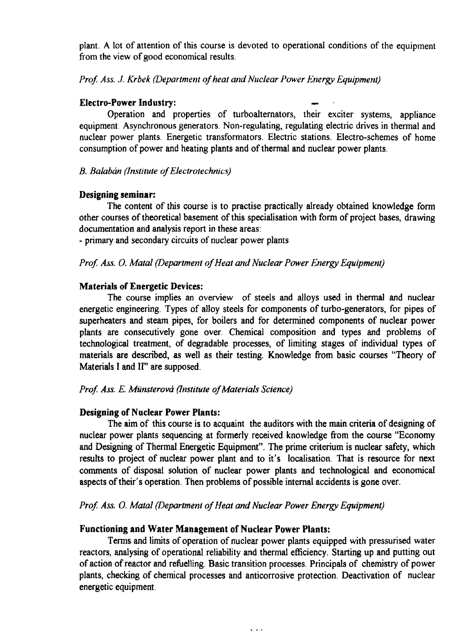plant. A lot of attention of this course is devoted to operational conditions of the equipment from the view of good economical results.

# *Prof. Ass. J. Krbek (Department of heat and Nuclear Power Energy Equipment)*

# **Electro-Power Industry:** —

Operation and properties of turboalternators, their exciter systems, appliance equipment. Asynchronous generators. Non-regulating, regulating electric drives in thermal and nuclear power plants. Energetic transformators. Electric stations. Electro-schemes of home consumption of power and heating plants and of thermal and nuclear power plants.

# *B. Balaban (Institute of Electrotechnics)*

#### **Designing seminar:**

The content of this course is to practise practically already obtained knowledge form other courses of theoretical basement of this specialisation with form of project bases, drawing documentation and analysis report in these areas:

- primary and secondary circuits of nuclear power plants

# *Prof. Ass. 0. Matal (Department of Heat and Nuclear Power Energy Equipment)*

# **Materials of Energetic Devices:**

The course implies an overview of steels and alloys used in thermal and nuclear energetic engineering. Types of alloy steels for components of turbo-generators, for pipes of superheaters and steam pipes, for boilers and for determined components of nuclear power plants are consecutively gone over. Chemical composition and types and problems of technological treatment, of degradable processes, of limiting stages of individual types of materials are described, as well as their testing. Knowledge from basic courses "Theory of Materials I and IF' are supposed.

# *Prof Ass. E. Miinsterovd (Institute of Materials Science)*

# **Designing of Nuclear Power Plants:**

The aim of this course is to acquaint the auditors with the main criteria of designing of nuclear power plants sequencing at formerly received knowledge from the course "Economy and Designing of Thermal Energetic Equipment". The prime criterium is nuclear safety, which results to project of nuclear power plant and to it's localisation. That is resource for next comments of disposal solution of nuclear power plants and technological and economical aspects of their's operation. Then problems of possible internal accidents is gone over.

#### *Prof. Ass. 0. Matal (Department of Heat and Nuclear Power Energy Equipment)*

#### **Functioning and Water Management of Nuclear Power Plants:**

Terms and limits of operation of nuclear power plants equipped with pressurised water reactors, analysing of operational reliability and thermal efficiency. Starting up and putting out of action of reactor and refuelling. Basic transition processes. Principals of chemistry of power plants, checking of chemical processes and anticorrosive protection. Deactivation of nuclear energetic equipment.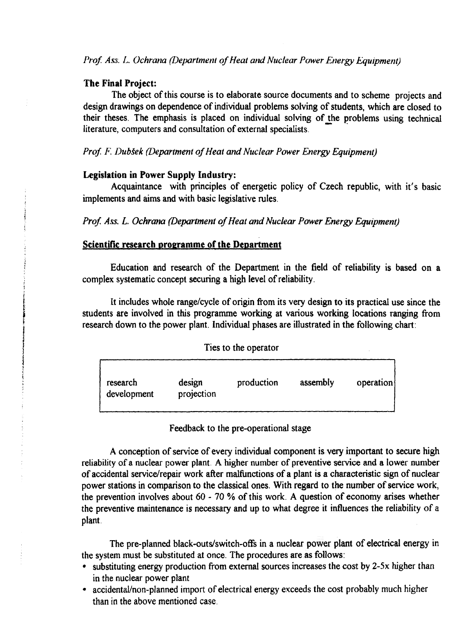*Prof. Ass. L. Ochrana (Department of Heat and Nuclear Power Energy Equipment)* 

# **The Final Project:**

The object of this course is to elaborate source documents and to scheme projects and design drawings on dependence of individual problems solving of students, which are closed to their theses. The emphasis is placed on individual solving of the problems using technical literature, computers and consultation of external specialists.

*Prof. F. DubSek (Department of Heat and Nuclear Power Energy Equipment)*

#### **Legislation in Power Supply Industry:**

Acquaintance with principles of energetic policy of Czech republic, with it's basic implements and aims and with basic legislative rules.

*Prof. Ass. L. Ochrana (Department of Heat and Nuclear Power Energy Equipment)* 

# **Scientific research programme of the Department**

Education and research of the Department in the field of reliability is based on a complex systematic concept securing a high level of reliability.

It includes whole range/cycle of origin from its very design to its practical use since the students are involved in this programme working at various working locations ranging from research down to the power plant. Individual phases are illustrated in the following chart:

| Ties to the operator |  |  |  |  |  |  |  |
|----------------------|--|--|--|--|--|--|--|
|----------------------|--|--|--|--|--|--|--|



Feedback to the pre-operational stage

A conception of service of every individual component is very important to secure high reliability of a nuclear power plant. A higher number of preventive service and a lower number of accidental service/repair work after malfunctions of a plant is a characteristic sign of nuclear power stations in comparison to the classical ones. With regard to the number of service work, the prevention involves about 60 - 70 % of this work. A question of economy arises whether the preventive maintenance is necessary and up to what degree it influences the reliability of a plant.

The pre-planned black-outs/switch-offs in a nuclear power plant of electrical energy in the system must be substituted at once. The procedures are as follows:

- substituting energy production from external sources increases the cost by 2-5x higher than in the nuclear power plant
- accidental/non-planned import of electrical energy exceeds the cost probably much higher than in the above mentioned case.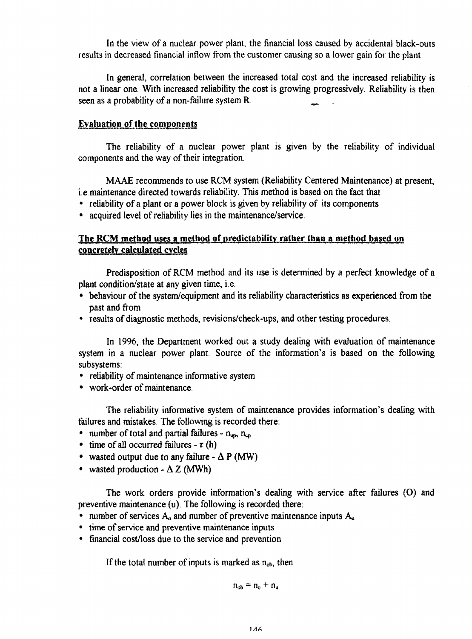In the view of a nuclear power plant, the financial loss caused by accidental black-outs results in decreased financial inflow from the customer causing so a lower gain for the plant.

In general, correlation between the increased total cost and the increased reliability is not a linear one. With increased reliability the cost is growing progressively. Reliability is then seen as a probability of a non-failure system **R.** \_

# **Evaluation of the components**

The reliability of a nuclear power plant is given by the reliability of individual components and the way of their integration.

MAAE recommends to use RCM system (Reliability Centered Maintenance) at present, i.e.maintenance directed towards reliability. This method is based on the fact that

- reliability of a plant or a power block is given by reliability of its components
- acquired level of reliability lies in the maintenance/service.

# **The RCM method uses a method of predictability rather than a method based on concretely calculated** cycles

Predisposition of RCM method and its use is determined by a perfect knowledge of a plant condition/state at any given time, i.e.

- behaviour of the system/equipment and its reliability characteristics as experienced from the past and from
- results of diagnostic methods, revisions/check-ups, and other testing procedures.

In 1996, the Department worked out a study dealing with evaluation of maintenance system in a nuclear power plant. Source of the information's is based on the following subsystems:

- reliability of maintenance informative system
- work-order of maintenance.

The reliability informative system of maintenance provides information's dealing with failures and mistakes. The following is recorded there:

- number of total and partial failures  $n_{\text{up}}$ ,  $n_{\text{cm}}$
- time of all occurred failures  $\tau(h)$
- wasted output due to any failure  $\Delta P$  (MW)
- wasted production  $\Delta Z$  (MWh)

The work orders provide information's dealing with service after failures (O) and preventive maintenance (u). The following is recorded there:

- number of services  $A_0$  and number of preventive maintenance inputs  $A_u$
- time of service and preventive maintenance inputs
- financial cost/loss due to the service and prevention

If the total number of inputs is marked as  $n_{ob}$ , then

$$
n_{ob} \equiv n_o + n_u
$$